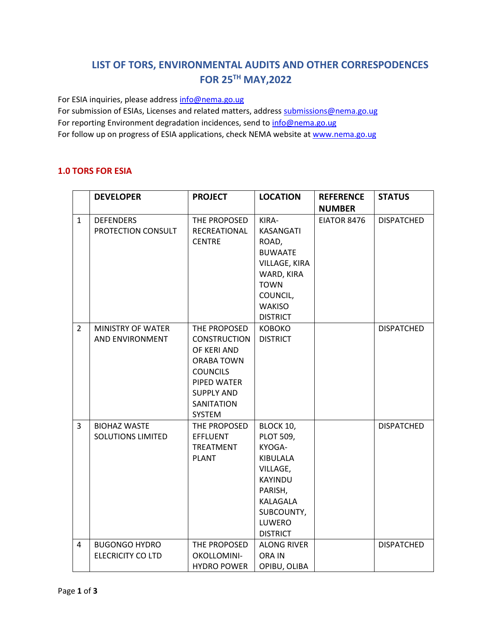## **LIST OF TORS, ENVIRONMENTAL AUDITS AND OTHER CORRESPODENCES FOR 25TH MAY,2022**

For ESIA inquiries, please addres[s info@nema.go.ug](mailto:info@nema.go.ug)

For submission of ESIAs, Licenses and related matters, address [submissions@nema.go.ug](mailto:submissions@nema.go.ug) For reporting Environment degradation incidences, send t[o info@nema.go.ug](mailto:info@nema.go.ug) For follow up on progress of ESIA applications, check NEMA website at [www.nema.go.ug](http://www.nema.go.ug/)

## **1.0 TORS FOR ESIA**

|                | <b>DEVELOPER</b>         | <b>PROJECT</b>       | <b>LOCATION</b>    | <b>REFERENCE</b> | <b>STATUS</b>     |
|----------------|--------------------------|----------------------|--------------------|------------------|-------------------|
|                |                          |                      |                    | <b>NUMBER</b>    |                   |
| $\mathbf{1}$   | <b>DEFENDERS</b>         | THE PROPOSED         | KIRA-              | EIATOR 8476      | <b>DISPATCHED</b> |
|                | PROTECTION CONSULT       | RECREATIONAL         | <b>KASANGATI</b>   |                  |                   |
|                |                          | <b>CENTRE</b>        | ROAD,              |                  |                   |
|                |                          |                      | <b>BUWAATE</b>     |                  |                   |
|                |                          |                      | VILLAGE, KIRA      |                  |                   |
|                |                          |                      | WARD, KIRA         |                  |                   |
|                |                          |                      | <b>TOWN</b>        |                  |                   |
|                |                          |                      | COUNCIL,           |                  |                   |
|                |                          |                      | <b>WAKISO</b>      |                  |                   |
|                |                          |                      | <b>DISTRICT</b>    |                  |                   |
| $\overline{2}$ | MINISTRY OF WATER        | THE PROPOSED         | <b>KOBOKO</b>      |                  | <b>DISPATCHED</b> |
|                | AND ENVIRONMENT          | <b>CONSTRUCTION</b>  | <b>DISTRICT</b>    |                  |                   |
|                |                          | OF KERI AND          |                    |                  |                   |
|                |                          | ORABA TOWN           |                    |                  |                   |
|                |                          | <b>COUNCILS</b>      |                    |                  |                   |
|                |                          | PIPED WATER          |                    |                  |                   |
|                |                          | <b>SUPPLY AND</b>    |                    |                  |                   |
|                |                          | SANITATION<br>SYSTEM |                    |                  |                   |
| 3              | <b>BIOHAZ WASTE</b>      | THE PROPOSED         | BLOCK 10,          |                  | <b>DISPATCHED</b> |
|                | <b>SOLUTIONS LIMITED</b> | <b>EFFLUENT</b>      | <b>PLOT 509,</b>   |                  |                   |
|                |                          | TREATMENT            | KYOGA-             |                  |                   |
|                |                          | <b>PLANT</b>         | KIBULALA           |                  |                   |
|                |                          |                      | VILLAGE,           |                  |                   |
|                |                          |                      | <b>KAYINDU</b>     |                  |                   |
|                |                          |                      | PARISH,            |                  |                   |
|                |                          |                      | KALAGALA           |                  |                   |
|                |                          |                      | SUBCOUNTY,         |                  |                   |
|                |                          |                      | LUWERO             |                  |                   |
|                |                          |                      | <b>DISTRICT</b>    |                  |                   |
| 4              | <b>BUGONGO HYDRO</b>     | THE PROPOSED         | <b>ALONG RIVER</b> |                  | <b>DISPATCHED</b> |
|                | <b>ELECRICITY CO LTD</b> | OKOLLOMINI-          | ORA IN             |                  |                   |
|                |                          | <b>HYDRO POWER</b>   | OPIBU, OLIBA       |                  |                   |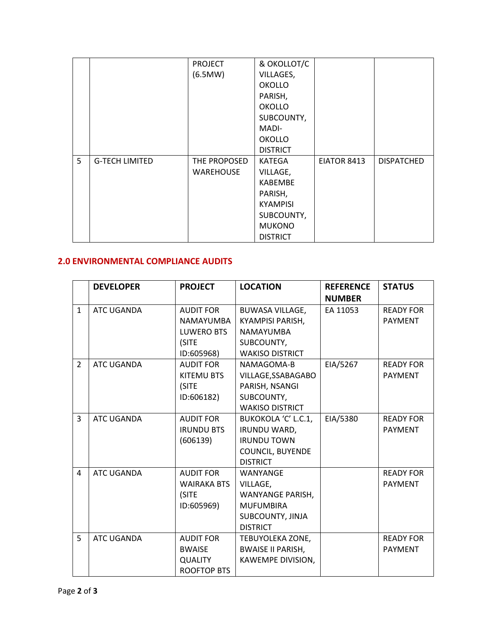|   |                       | <b>PROJECT</b> | & OKOLLOT/C     |             |                   |
|---|-----------------------|----------------|-----------------|-------------|-------------------|
|   |                       | (6.5MW)        | VILLAGES,       |             |                   |
|   |                       |                | <b>OKOLLO</b>   |             |                   |
|   |                       |                | PARISH,         |             |                   |
|   |                       |                | <b>OKOLLO</b>   |             |                   |
|   |                       |                | SUBCOUNTY,      |             |                   |
|   |                       |                | MADI-           |             |                   |
|   |                       |                | <b>OKOLLO</b>   |             |                   |
|   |                       |                | <b>DISTRICT</b> |             |                   |
| 5 | <b>G-TECH LIMITED</b> | THE PROPOSED   | KATEGA          | EIATOR 8413 | <b>DISPATCHED</b> |
|   |                       | WAREHOUSE      | VILLAGE,        |             |                   |
|   |                       |                | KABEMBE         |             |                   |
|   |                       |                | PARISH,         |             |                   |
|   |                       |                | <b>KYAMPISI</b> |             |                   |
|   |                       |                | SUBCOUNTY,      |             |                   |
|   |                       |                | <b>MUKONO</b>   |             |                   |
|   |                       |                | <b>DISTRICT</b> |             |                   |

## **2.0 ENVIRONMENTAL COMPLIANCE AUDITS**

|                | <b>DEVELOPER</b>  | <b>PROJECT</b>     | <b>LOCATION</b>          | <b>REFERENCE</b> | <b>STATUS</b>    |
|----------------|-------------------|--------------------|--------------------------|------------------|------------------|
|                |                   |                    |                          | <b>NUMBER</b>    |                  |
| $\mathbf{1}$   | <b>ATC UGANDA</b> | <b>AUDIT FOR</b>   | <b>BUWASA VILLAGE,</b>   | EA 11053         | <b>READY FOR</b> |
|                |                   | <b>NAMAYUMBA</b>   | <b>KYAMPISI PARISH,</b>  |                  | <b>PAYMENT</b>   |
|                |                   | LUWERO BTS         | <b>NAMAYUMBA</b>         |                  |                  |
|                |                   | (SITE              | SUBCOUNTY,               |                  |                  |
|                |                   | ID:605968)         | <b>WAKISO DISTRICT</b>   |                  |                  |
| $\overline{2}$ | ATC UGANDA        | <b>AUDIT FOR</b>   | NAMAGOMA-B               | EIA/5267         | <b>READY FOR</b> |
|                |                   | KITEMU BTS         | VILLAGE, SSABAGABO       |                  | <b>PAYMENT</b>   |
|                |                   | (SITE              | PARISH, NSANGI           |                  |                  |
|                |                   | ID:606182)         | SUBCOUNTY,               |                  |                  |
|                |                   |                    | <b>WAKISO DISTRICT</b>   |                  |                  |
| 3              | ATC UGANDA        | <b>AUDIT FOR</b>   | BUKOKOLA 'C' L.C.1,      | EIA/5380         | <b>READY FOR</b> |
|                |                   | <b>IRUNDU BTS</b>  | IRUNDU WARD,             |                  | <b>PAYMENT</b>   |
|                |                   | (606139)           | <b>IRUNDU TOWN</b>       |                  |                  |
|                |                   |                    | <b>COUNCIL, BUYENDE</b>  |                  |                  |
|                |                   |                    | <b>DISTRICT</b>          |                  |                  |
| 4              | ATC UGANDA        | <b>AUDIT FOR</b>   | WANYANGE                 |                  | <b>READY FOR</b> |
|                |                   | <b>WAIRAKA BTS</b> | VILLAGE,                 |                  | <b>PAYMENT</b>   |
|                |                   | (SITE              | WANYANGE PARISH,         |                  |                  |
|                |                   | ID:605969)         | <b>MUFUMBIRA</b>         |                  |                  |
|                |                   |                    | SUBCOUNTY, JINJA         |                  |                  |
|                |                   |                    | <b>DISTRICT</b>          |                  |                  |
| 5              | ATC UGANDA        | <b>AUDIT FOR</b>   | TEBUYOLEKA ZONE,         |                  | <b>READY FOR</b> |
|                |                   | <b>BWAISE</b>      | <b>BWAISE II PARISH,</b> |                  | <b>PAYMENT</b>   |
|                |                   | <b>QUALITY</b>     | KAWEMPE DIVISION,        |                  |                  |
|                |                   | ROOFTOP BTS        |                          |                  |                  |